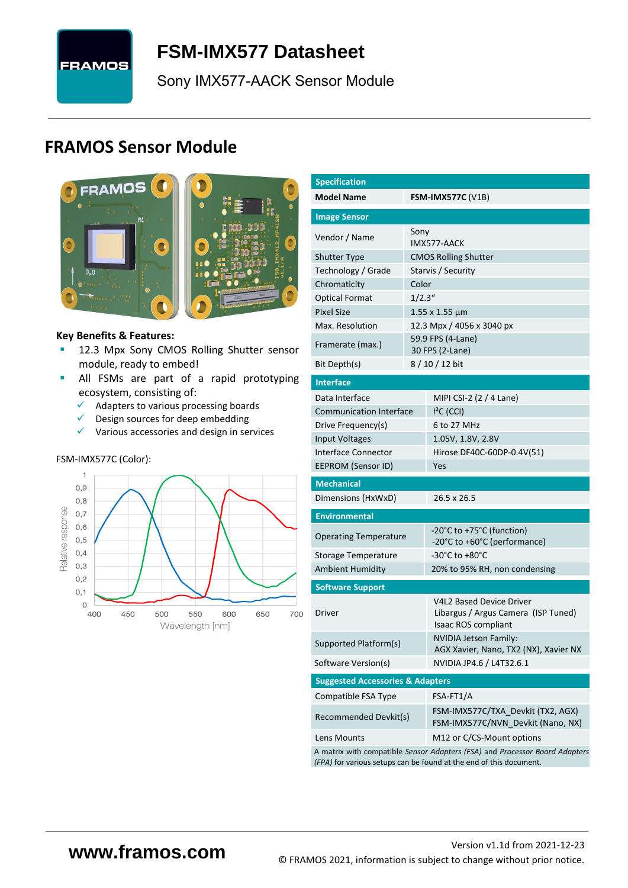

# <span id="page-0-7"></span>**FSM-IMX577 [Datasheet](#page-0-0)**

<span id="page-0-3"></span><span id="page-0-0"></span>[Sony](#page-0-1) [IMX577-AACK](#page-0-2) Sensor Module

# **FRAMOS Sensor Module**



#### **Key Benefits & Features:**

- **[12.3](#page-0-4) Mpx [Sony](#page-0-1) [CMOS Rolling Shutter](#page-0-5) sensor** module, ready to embed!
- **E** All FSMs are part of a rapid prototyping ecosystem, consisting of:
	- ✓ Adapters to various processing boards
	- $\checkmark$  Design sources for deep embedding
	- ✓ Various accessories and design in services

#### FSM-IMX577C (Color):



<span id="page-0-6"></span><span id="page-0-5"></span><span id="page-0-4"></span><span id="page-0-2"></span><span id="page-0-1"></span>

| <b>Specification</b>                                                                                                                              |         |                                                                                                      |  |  |  |  |  |
|---------------------------------------------------------------------------------------------------------------------------------------------------|---------|------------------------------------------------------------------------------------------------------|--|--|--|--|--|
| <b>Model Name</b>                                                                                                                                 |         | <b>FSM-IMX577C (V1B)</b>                                                                             |  |  |  |  |  |
| <b>Image Sensor</b>                                                                                                                               |         |                                                                                                      |  |  |  |  |  |
| Vendor / Name                                                                                                                                     | Sony    |                                                                                                      |  |  |  |  |  |
| <b>Shutter Type</b>                                                                                                                               |         | IMX577-AACK<br><b>CMOS Rolling Shutter</b>                                                           |  |  |  |  |  |
| Technology / Grade                                                                                                                                |         | Starvis / Security                                                                                   |  |  |  |  |  |
| Chromaticity                                                                                                                                      | Color   |                                                                                                      |  |  |  |  |  |
| <b>Optical Format</b>                                                                                                                             | 1/2.3'' |                                                                                                      |  |  |  |  |  |
| <b>Pixel Size</b>                                                                                                                                 |         | $1.55 \times 1.55 \mu m$                                                                             |  |  |  |  |  |
| Max. Resolution                                                                                                                                   |         | 12.3 Mpx / 4056 x 3040 px                                                                            |  |  |  |  |  |
| Framerate (max.)                                                                                                                                  |         | 59.9 FPS (4-Lane)<br>30 FPS (2-Lane)                                                                 |  |  |  |  |  |
| Bit Depth(s)                                                                                                                                      |         | $8/10/12$ bit                                                                                        |  |  |  |  |  |
| <b>Interface</b>                                                                                                                                  |         |                                                                                                      |  |  |  |  |  |
| Data Interface                                                                                                                                    |         | MIPI CSI-2 (2 / 4 Lane)                                                                              |  |  |  |  |  |
| <b>Communication Interface</b>                                                                                                                    |         | $I2C$ (CCI)                                                                                          |  |  |  |  |  |
| Drive Frequency(s)                                                                                                                                |         | 6 to 27 MHz                                                                                          |  |  |  |  |  |
| <b>Input Voltages</b>                                                                                                                             |         | 1.05V, 1.8V, 2.8V                                                                                    |  |  |  |  |  |
| <b>Interface Connector</b>                                                                                                                        |         | Hirose DF40C-60DP-0.4V(51)                                                                           |  |  |  |  |  |
| EEPROM (Sensor ID)                                                                                                                                |         | Yes                                                                                                  |  |  |  |  |  |
| <b>Mechanical</b>                                                                                                                                 |         |                                                                                                      |  |  |  |  |  |
| Dimensions (HxWxD)                                                                                                                                |         | 26.5 x 26.5                                                                                          |  |  |  |  |  |
| <b>Environmental</b>                                                                                                                              |         |                                                                                                      |  |  |  |  |  |
| <b>Operating Temperature</b>                                                                                                                      |         | -20°C to +75°C (function)<br>-20°C to +60°C (performance)                                            |  |  |  |  |  |
| Storage Temperature                                                                                                                               |         | -30°C to +80°C                                                                                       |  |  |  |  |  |
| <b>Ambient Humidity</b>                                                                                                                           |         | 20% to 95% RH, non condensing                                                                        |  |  |  |  |  |
| <b>Software Support</b>                                                                                                                           |         |                                                                                                      |  |  |  |  |  |
| Driver                                                                                                                                            |         | <b>V4L2 Based Device Driver</b><br>Libargus / Argus Camera (ISP Tuned)<br><b>Isaac ROS compliant</b> |  |  |  |  |  |
| Supported Platform(s)                                                                                                                             |         | <b>NVIDIA Jetson Family:</b><br>AGX Xavier, Nano, TX2 (NX), Xavier NX                                |  |  |  |  |  |
| Software Version(s)                                                                                                                               |         | NVIDIA JP4.6 / L4T32.6.1                                                                             |  |  |  |  |  |
| <b>Suggested Accessories &amp; Adapters</b>                                                                                                       |         |                                                                                                      |  |  |  |  |  |
| Compatible FSA Type                                                                                                                               |         | FSA-FT1/A                                                                                            |  |  |  |  |  |
| Recommended Devkit(s)                                                                                                                             |         | FSM-IMX577C/TXA Devkit (TX2, AGX)<br>FSM-IMX577C/NVN Devkit (Nano, NX)                               |  |  |  |  |  |
| Lens Mounts                                                                                                                                       |         | M12 or C/CS-Mount options                                                                            |  |  |  |  |  |
| A matrix with compatible Sensor Adapters (FSA) and Processor Board Adapters<br>(FPA) for various setups can be found at the end of this document. |         |                                                                                                      |  |  |  |  |  |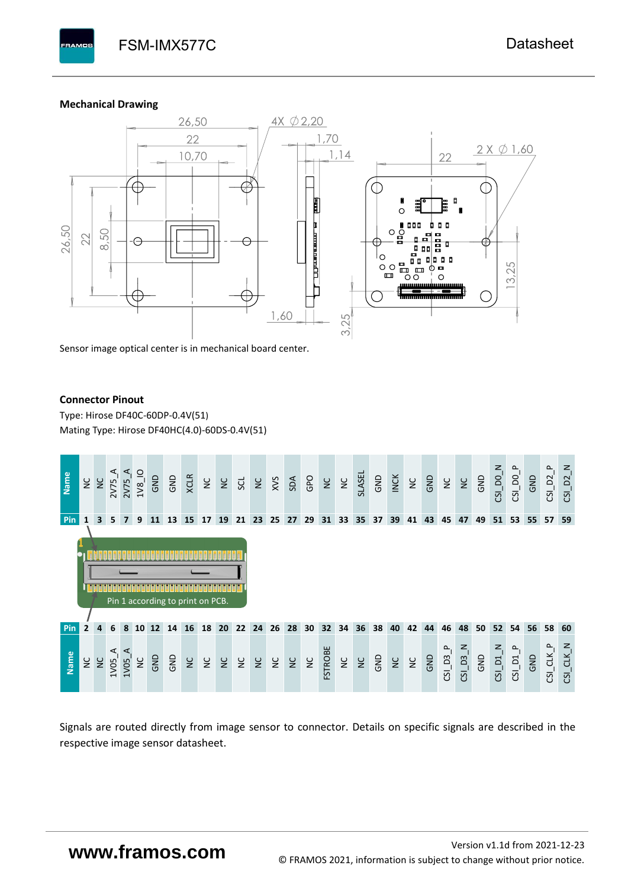#### **Mechanical Drawing**

**PAMOS** 



Sensor image optical center is in mechanical board center.

#### **Connector Pinout**

Type: [Hirose DF40C-60DP-0.4V\(51](#page-0-6)[\)](#page-0-6)  Mating Type: Hirose DF40HC(4.0)-60DS-0.4V(51)



Signals are routed directly from image sensor to connector. Details on specific signals are described in the respective image sensor datasheet.

# **www.framos.com**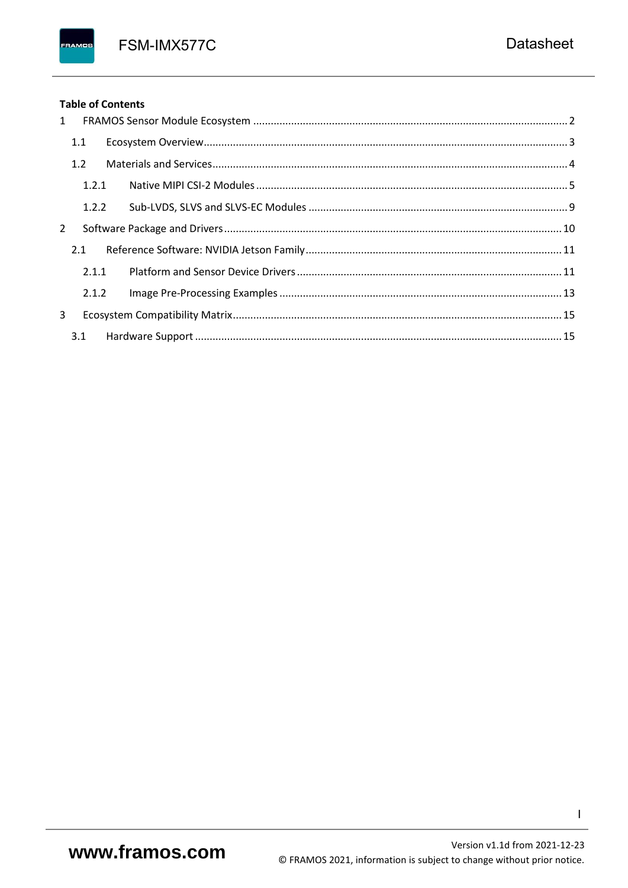FSM-IMX577C

#### **Table of Contents**

FRAMOS

|              | $1 \quad$ |  |
|--------------|-----------|--|
|              | 1.1       |  |
|              | 1.2       |  |
|              | 1.2.1     |  |
|              | 1.2.2     |  |
| $\mathbf{2}$ |           |  |
|              | 2.1       |  |
|              | 2.1.1     |  |
|              | 2.1.2     |  |
| 3            |           |  |
|              | 3.1       |  |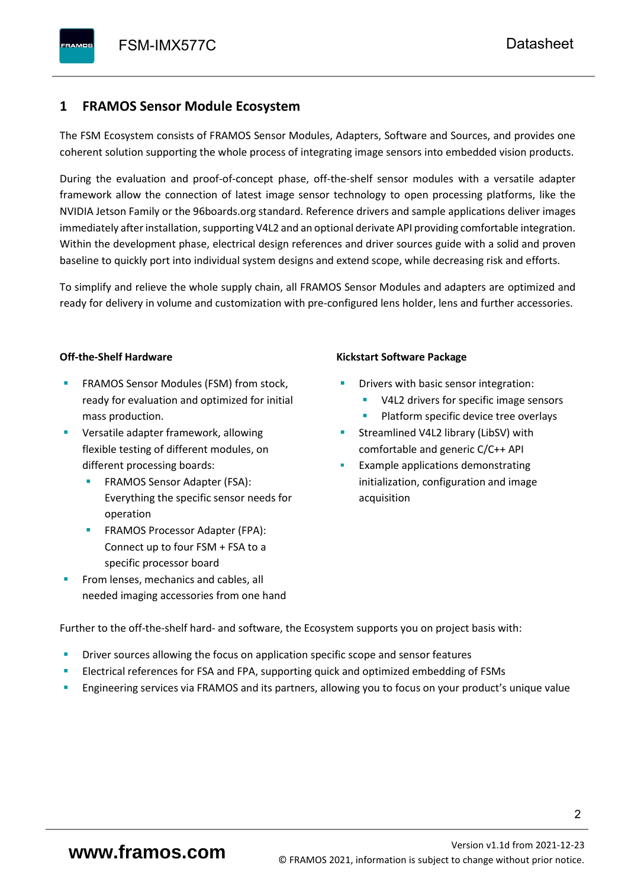## <span id="page-3-0"></span>**1 FRAMOS Sensor Module Ecosystem**

The FSM Ecosystem consists of FRAMOS Sensor Modules, Adapters, Software and Sources, and provides one coherent solution supporting the whole process of integrating image sensors into embedded vision products.

During the evaluation and proof-of-concept phase, off-the-shelf sensor modules with a versatile adapter framework allow the connection of latest image sensor technology to open processing platforms, like the NVIDIA Jetson Family or the 96boards.org standard. Reference drivers and sample applications deliver images immediately after installation, supporting V4L2 and an optional derivate API providing comfortable integration. Within the development phase, electrical design references and driver sources guide with a solid and proven baseline to quickly port into individual system designs and extend scope, while decreasing risk and efforts.

To simplify and relieve the whole supply chain, all FRAMOS Sensor Modules and adapters are optimized and ready for delivery in volume and customization with pre-configured lens holder, lens and further accessories.

#### **Off-the-Shelf Hardware**

- FRAMOS Sensor Modules (FSM) from stock, ready for evaluation and optimized for initial mass production.
- Versatile adapter framework, allowing flexible testing of different modules, on different processing boards:
	- FRAMOS Sensor Adapter (FSA): Everything the specific sensor needs for operation
	- FRAMOS Processor Adapter (FPA): Connect up to four FSM + FSA to a specific processor board
- From lenses, mechanics and cables, all needed imaging accessories from one hand

#### **Kickstart Software Package**

- Drivers with basic sensor integration:
	- V4L2 drivers for specific image sensors
	- Platform specific device tree overlays
- Streamlined V4L2 library (LibSV) with comfortable and generic C/C++ API
- Example applications demonstrating initialization, configuration and image acquisition

Further to the off-the-shelf hard- and software, the Ecosystem supports you on project basis with:

- Driver sources allowing the focus on application specific scope and sensor features
- Electrical references for FSA and FPA, supporting quick and optimized embedding of FSMs
- Engineering services via FRAMOS and its partners, allowing you to focus on your product's unique value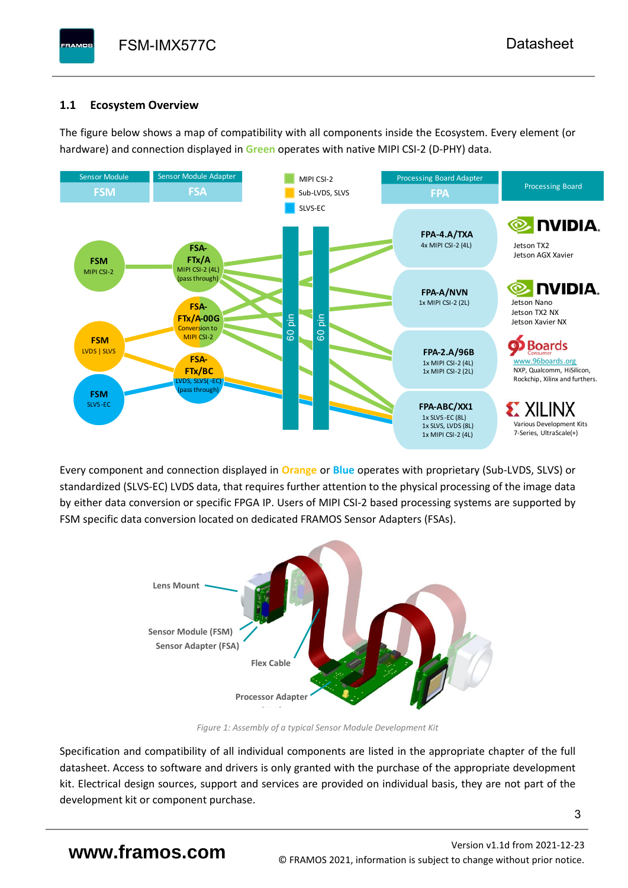# <span id="page-4-0"></span>**1.1 Ecosystem Overview**

**PAMOS** 

The figure below shows a map of compatibility with all components inside the Ecosystem. Every element (or hardware) and connection displayed in **Green** operates with native MIPI CSI-2 (D-PHY) data.



Every component and connection displayed in **Orange** or **Blue** operates with proprietary (Sub-LVDS, SLVS) or standardized (SLVS-EC) LVDS data, that requires further attention to the physical processing of the image data by either data conversion or specific FPGA IP. Users of MIPI CSI-2 based processing systems are supported by FSM specific data conversion located on dedicated FRAMOS Sensor Adapters (FSAs).



*Figure 1: Assembly of a typical Sensor Module Development Kit*

Specification and compatibility of all individual components are listed in the appropriate chapter of the full datasheet. Access to software and drivers is only granted with the purchase of the appropriate development kit. Electrical design sources, support and services are provided on individual basis, they are not part of the development kit or component purchase.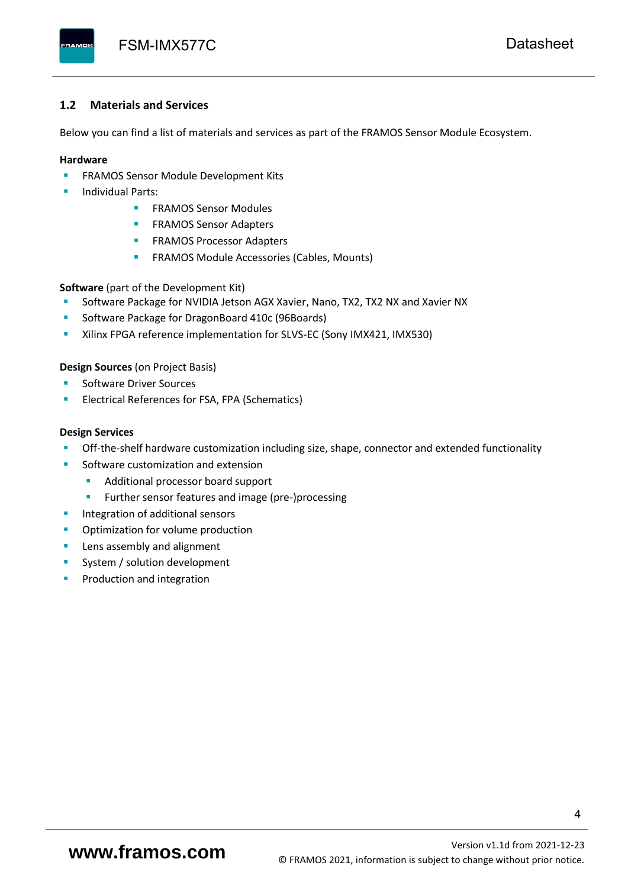#### <span id="page-5-0"></span>**1.2 Materials and Services**

Below you can find a list of materials and services as part of the FRAMOS Sensor Module Ecosystem.

#### **Hardware**

- **EXECTED FRAMOS Sensor Module Development Kits**
- **Individual Parts:** 
	- FRAMOS Sensor Modules
	- **FRAMOS Sensor Adapters**
	- **EXAMOS Processor Adapters**
	- **EXECTED** FRAMOS Module Accessories (Cables, Mounts)

**Software** (part of the Development Kit)

- Software Package for NVIDIA Jetson AGX Xavier, Nano, TX2, TX2 NX and Xavier NX
- Software Package for DragonBoard 410c (96Boards)
- **E** Xilinx FPGA reference implementation for SLVS-EC (Sony IMX421, IMX530)

#### **Design Sources** (on Project Basis)

- Software Driver Sources
- Electrical References for FSA, FPA (Schematics)

#### **Design Services**

- Off-the-shelf hardware customization including size, shape, connector and extended functionality
- Software customization and extension
	- Additional processor board support
	- Further sensor features and image (pre-)processing
- **■** Integration of additional sensors
- Optimization for volume production
- Lens assembly and alignment
- System / solution development
- Production and integration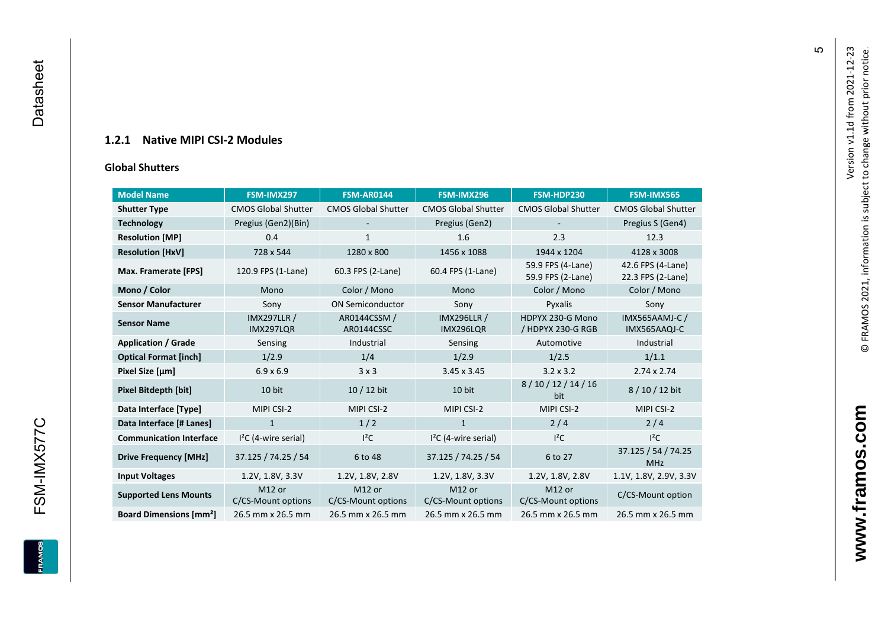### **1.2.1 Native MIPI CSI - 2 Modules**

#### **[Global Shu](#page-0-7)tters**

<span id="page-6-0"></span>

| <b>Model Name</b>                        | FSM-IMX297                      | <b>FSM-AR0144</b>            | FSM-IMX296                      | FSM-HDP230                             | <b>FSM-IMX565</b>                      |
|------------------------------------------|---------------------------------|------------------------------|---------------------------------|----------------------------------------|----------------------------------------|
| <b>Shutter Type</b>                      | <b>CMOS Global Shutter</b>      | <b>CMOS Global Shutter</b>   | <b>CMOS Global Shutter</b>      | <b>CMOS Global Shutter</b>             | <b>CMOS Global Shutter</b>             |
| <b>Technology</b>                        | Pregius (Gen2)(Bin)             | $\overline{\phantom{a}}$     | Pregius (Gen2)                  |                                        | Pregius S (Gen4)                       |
| <b>Resolution [MP]</b>                   | 0.4                             | 1                            | 1.6                             | 2.3                                    | 12.3                                   |
| <b>Resolution [HxV]</b>                  | 728 x 544                       | 1280 x 800                   | 1456 x 1088                     | 1944 x 1204                            | 4128 x 3008                            |
| Max. Framerate [FPS]                     | 120.9 FPS (1-Lane)              | 60.3 FPS (2-Lane)            | 60.4 FPS (1-Lane)               | 59.9 FPS (4-Lane)<br>59.9 FPS (2-Lane) | 42.6 FPS (4-Lane)<br>22.3 FPS (2-Lane) |
| Mono / Color                             | Mono                            | Color / Mono                 | Mono                            | Color / Mono                           | Color / Mono                           |
| <b>Sensor Manufacturer</b>               | Sony                            | <b>ON Semiconductor</b>      | Sony                            | Pyxalis                                | Sony                                   |
| <b>Sensor Name</b>                       | <b>IMX297LLR /</b><br>IMX297LQR | AR0144CSSM /<br>AR0144CSSC   | <b>IMX296LLR /</b><br>IMX296LQR | HDPYX 230-G Mono<br>/ HDPYX 230-G RGB  | <b>IMX565AAMJ-C/</b><br>IMX565AAQJ-C   |
| <b>Application / Grade</b>               | Sensing                         | Industrial                   | Sensing                         | Automotive                             | Industrial                             |
| <b>Optical Format [inch]</b>             | 1/2.9                           | 1/4                          | 1/2.9                           | 1/2.5                                  | 1/1.1                                  |
| Pixel Size [µm]                          | $6.9 \times 6.9$                | 3x3                          | $3.45 \times 3.45$              | $3.2 \times 3.2$                       | $2.74 \times 2.74$                     |
| <b>Pixel Bitdepth [bit]</b>              | 10 bit                          | 10 / 12 bit                  | 10 bit                          | 8/10/12/14/16<br>bit                   | 8/10/12 bit                            |
| Data Interface [Type]                    | MIPI CSI-2                      | MIPI CSI-2                   | MIPI CSI-2                      | MIPI CSI-2                             | MIPI CSI-2                             |
| Data Interface [# Lanes]                 | $\mathbf{1}$                    | 1/2                          | $\mathbf{1}$                    | 2/4                                    | 2/4                                    |
| <b>Communication Interface</b>           | $I2C$ (4-wire serial)           | $l^2C$                       | $I2C$ (4-wire serial)           | $l^2C$                                 | $I^2C$                                 |
| <b>Drive Frequency [MHz]</b>             | 37.125 / 74.25 / 54             | 6 to 48                      | 37.125 / 74.25 / 54             | 6 to 27                                | 37.125 / 54 / 74.25<br><b>MHz</b>      |
| <b>Input Voltages</b>                    | 1.2V, 1.8V, 3.3V                | 1.2V, 1.8V, 2.8V             | 1.2V, 1.8V, 3.3V                | 1.2V, 1.8V, 2.8V                       | 1.1V, 1.8V, 2.9V, 3.3V                 |
| <b>Supported Lens Mounts</b>             | M12 or<br>C/CS-Mount options    | M12 or<br>C/CS-Mount options | M12 or<br>C/CS-Mount options    | M12 or<br>C/CS-Mount options           | C/CS-Mount option                      |
| <b>Board Dimensions [mm<sup>2</sup>]</b> | 26.5 mm x 26.5 mm               | 26.5 mm x 26.5 mm            | 26.5 mm x 26.5 mm               | 26.5 mm x 26.5 mm                      | 26.5 mm x 26.5 mm                      |

 $\mathfrak{g}$ 

**www.framos.com**

www.framos.com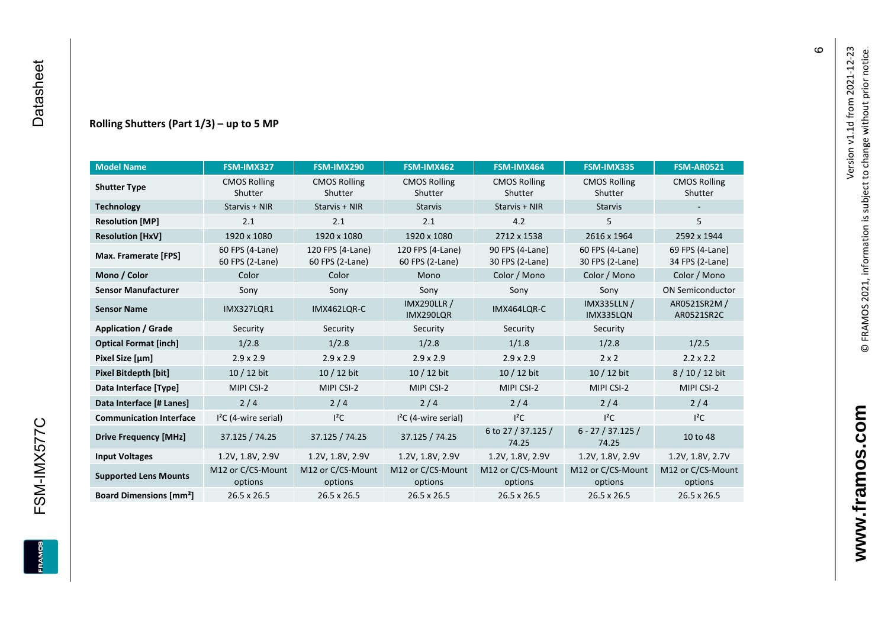#### **Rolling Shutters (Part 1/ 3 ) – up to 5 MP**

| <b>Model Name</b>                        | FSM-IMX327                         | FSM-IMX290                          | FSM-IMX462                                     | FSM-IMX464                         | FSM-IMX335                         | <b>FSM-AR0521</b>                  |
|------------------------------------------|------------------------------------|-------------------------------------|------------------------------------------------|------------------------------------|------------------------------------|------------------------------------|
| <b>Shutter Type</b>                      | <b>CMOS Rolling</b><br>Shutter     | <b>CMOS Rolling</b><br>Shutter      | <b>CMOS Rolling</b><br>Shutter                 | <b>CMOS Rolling</b><br>Shutter     | <b>CMOS Rolling</b><br>Shutter     | <b>CMOS Rolling</b><br>Shutter     |
| <b>Technology</b>                        | Starvis + NIR                      | Starvis + NIR                       | <b>Starvis</b>                                 | Starvis + NIR                      | <b>Starvis</b>                     |                                    |
| <b>Resolution [MP]</b>                   | 2.1                                | 2.1                                 | 2.1                                            | 4.2                                | 5                                  | 5                                  |
| <b>Resolution [HxV]</b>                  | 1920 x 1080                        | 1920 x 1080                         | 1920 x 1080                                    | 2712 x 1538                        | 2616 x 1964                        | 2592 x 1944                        |
| Max. Framerate [FPS]                     | 60 FPS (4-Lane)<br>60 FPS (2-Lane) | 120 FPS (4-Lane)<br>60 FPS (2-Lane) | 120 FPS (4-Lane)<br>60 FPS (2-Lane)            | 90 FPS (4-Lane)<br>30 FPS (2-Lane) | 60 FPS (4-Lane)<br>30 FPS (2-Lane) | 69 FPS (4-Lane)<br>34 FPS (2-Lane) |
| Mono / Color                             | Color                              | Color                               | Mono                                           | Color / Mono                       | Color / Mono                       | Color / Mono                       |
| <b>Sensor Manufacturer</b>               | Sony                               | Sony                                | Sony                                           | Sony                               | Sony                               | <b>ON Semiconductor</b>            |
| <b>Sensor Name</b>                       | <b>IMX327LOR1</b>                  | IMX462LOR-C                         | <b>IMX290LLR /</b><br>IMX464LQR-C<br>IMX290LQR |                                    | <b>IMX335LLN /</b><br>IMX335LQN    | AR0521SR2M /<br>AR0521SR2C         |
| <b>Application / Grade</b>               | Security                           | Security                            | Security                                       | Security                           | Security                           |                                    |
| <b>Optical Format [inch]</b>             | 1/2.8                              | 1/2.8                               | 1/2.8                                          | 1/1.8                              | 1/2.8                              | 1/2.5                              |
| Pixel Size [µm]                          | $2.9 \times 2.9$                   | $2.9 \times 2.9$                    | $2.9 \times 2.9$<br>$2.9 \times 2.9$           |                                    | $2 \times 2$                       | $2.2 \times 2.2$                   |
| <b>Pixel Bitdepth [bit]</b>              | 10 / 12 bit                        | 10 / 12 bit                         | 10 / 12 bit<br>10 / 12 bit                     |                                    | 10 / 12 bit                        | 8/10/12 bit                        |
| Data Interface [Type]                    | MIPI CSI-2                         | MIPI CSI-2                          | MIPI CSI-2                                     | MIPI CSI-2                         | MIPI CSI-2                         | MIPI CSI-2                         |
| Data Interface [# Lanes]                 | 2/4                                | 2/4                                 | 2/4                                            | 2/4                                | 2/4                                | 2/4                                |
| <b>Communication Interface</b>           | $I2C$ (4-wire serial)              | $l^2C$                              | $I2C$ (4-wire serial)                          | $I^2C$                             | $l^2C$                             | $l^2C$                             |
| <b>Drive Frequency [MHz]</b>             | 37.125 / 74.25                     | 37.125 / 74.25                      | 37.125 / 74.25                                 | 6 to 27 / 37.125 /<br>74.25        | $6 - 27 / 37.125 /$<br>74.25       | 10 to 48                           |
| <b>Input Voltages</b>                    | 1.2V, 1.8V, 2.9V                   | 1.2V, 1.8V, 2.9V                    | 1.2V, 1.8V, 2.9V                               | 1.2V, 1.8V, 2.9V                   | 1.2V, 1.8V, 2.9V                   | 1.2V, 1.8V, 2.7V                   |
| <b>Supported Lens Mounts</b>             | M12 or C/CS-Mount<br>options       | M12 or C/CS-Mount<br>options        | M12 or C/CS-Mount<br>options                   | M12 or C/CS-Mount<br>options       | M12 or C/CS-Mount<br>options       | M12 or C/CS-Mount<br>options       |
| <b>Board Dimensions [mm<sup>2</sup>]</b> | $26.5 \times 26.5$                 | $26.5 \times 26.5$                  | 26.5 x 26.5                                    | $26.5 \times 26.5$                 | 26.5 x 26.5                        | 26.5 x 26.5                        |

 $\pmb{\circ}$ 

**www.framos.com**

www.framos.com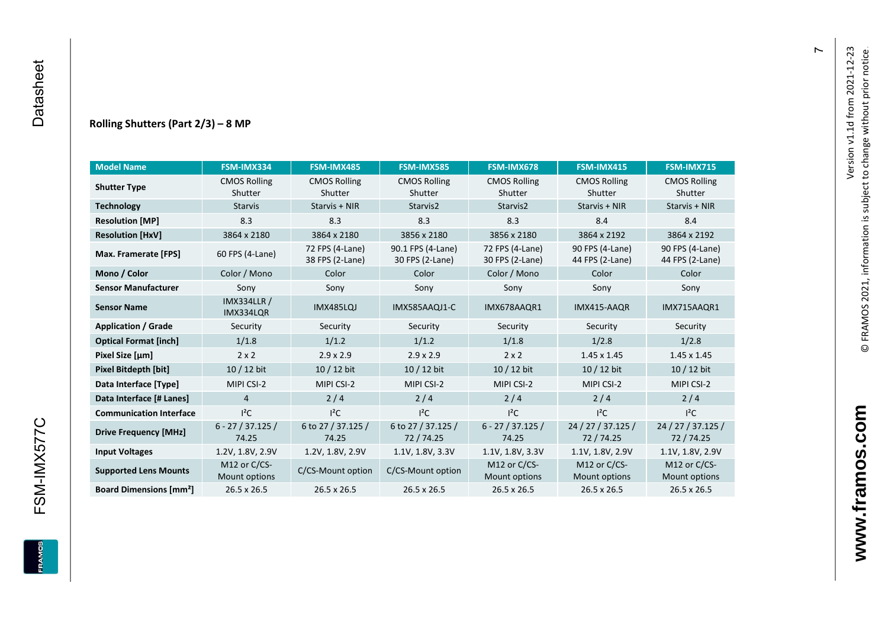#### **Rolling Shutters (Part 2/ 3 ) – 8 MP**

| <b>Model Name</b>                        | FSM-IMX334                      | FSM-IMX485                         | <b>FSM-IMX585</b>                    | FSM-IMX678                         | FSM-IMX415                         | <b>FSM-IMX715</b>                  |
|------------------------------------------|---------------------------------|------------------------------------|--------------------------------------|------------------------------------|------------------------------------|------------------------------------|
| <b>Shutter Type</b>                      | <b>CMOS Rolling</b><br>Shutter  | <b>CMOS Rolling</b><br>Shutter     | <b>CMOS Rolling</b><br>Shutter       | <b>CMOS Rolling</b><br>Shutter     | <b>CMOS Rolling</b><br>Shutter     | <b>CMOS Rolling</b><br>Shutter     |
| <b>Technology</b>                        | <b>Starvis</b>                  | Starvis + NIR                      | Starvis2                             | Starvis2                           | Starvis + NIR                      | Starvis + NIR                      |
| <b>Resolution [MP]</b>                   | 8.3                             | 8.3                                | 8.3                                  | 8.3                                | 8.4                                | 8.4                                |
| <b>Resolution [HxV]</b>                  | 3864 x 2180                     | 3864 x 2180                        | 3856 x 2180                          | 3856 x 2180                        | 3864 x 2192                        | 3864 x 2192                        |
| Max. Framerate [FPS]                     | 60 FPS (4-Lane)                 | 72 FPS (4-Lane)<br>38 FPS (2-Lane) | 90.1 FPS (4-Lane)<br>30 FPS (2-Lane) | 72 FPS (4-Lane)<br>30 FPS (2-Lane) | 90 FPS (4-Lane)<br>44 FPS (2-Lane) | 90 FPS (4-Lane)<br>44 FPS (2-Lane) |
| Mono / Color                             | Color / Mono                    | Color                              | Color                                | Color / Mono                       | Color                              | Color                              |
| <b>Sensor Manufacturer</b>               | Sony                            | Sony                               | Sony                                 | Sony                               | Sony                               | Sony                               |
| <b>Sensor Name</b>                       | <b>IMX334LLR /</b><br>IMX334LQR | <b>IMX485LQJ</b>                   | IMX585AAQJ1-C<br>IMX678AAQR1         |                                    | IMX415-AAQR                        | IMX715AAQR1                        |
| <b>Application / Grade</b>               | Security                        | Security                           | Security                             | Security                           | Security                           | Security                           |
| <b>Optical Format [inch]</b>             | 1/1.8                           | 1/1.2                              | 1/1.2                                | 1/1.8                              | 1/2.8                              | 1/2.8                              |
| Pixel Size [µm]                          | $2 \times 2$                    | $2.9 \times 2.9$                   | $2.9 \times 2.9$<br>$2 \times 2$     |                                    | $1.45 \times 1.45$                 | $1.45 \times 1.45$                 |
| Pixel Bitdepth [bit]                     | $10/12$ bit                     | $10/12$ bit                        | 10 / 12 bit                          | $10/12$ bit                        | 10 / 12 bit                        | $10/12$ bit                        |
| Data Interface [Type]                    | MIPI CSI-2                      | MIPI CSI-2                         | MIPI CSI-2                           | MIPI CSI-2                         | MIPI CSI-2                         | MIPI CSI-2                         |
| Data Interface [# Lanes]                 | $\overline{4}$                  | 2/4                                | 2/4                                  | 2/4                                | 2/4                                | 2/4                                |
| <b>Communication Interface</b>           | $I^2C$                          | $I^2C$                             | $I^2C$                               | $I^2C$                             | $I^2C$                             | $I^2C$                             |
| <b>Drive Frequency [MHz]</b>             | $6 - 27 / 37.125 /$<br>74.25    | 6 to 27 / 37.125 /<br>74.25        | 6 to 27 / 37.125 /<br>72/74.25       | $6 - 27 / 37.125 /$<br>74.25       | 24 / 27 / 37.125 /<br>72 / 74.25   | 24 / 27 / 37.125 /<br>72/74.25     |
| <b>Input Voltages</b>                    | 1.2V, 1.8V, 2.9V                | 1.2V, 1.8V, 2.9V                   | 1.1V, 1.8V, 3.3V                     | 1.1V, 1.8V, 3.3V                   | 1.1V, 1.8V, 2.9V                   | 1.1V, 1.8V, 2.9V                   |
| <b>Supported Lens Mounts</b>             | M12 or C/CS-<br>Mount options   | C/CS-Mount option                  | C/CS-Mount option                    | M12 or C/CS-<br>Mount options      | M12 or C/CS-<br>Mount options      | M12 or C/CS-<br>Mount options      |
| <b>Board Dimensions [mm<sup>2</sup>]</b> | $26.5 \times 26.5$              | $26.5 \times 26.5$                 | 26.5 x 26.5                          | 26.5 x 26.5                        | 26.5 x 26.5                        | 26.5 x 26.5                        |

FSM-IMX577C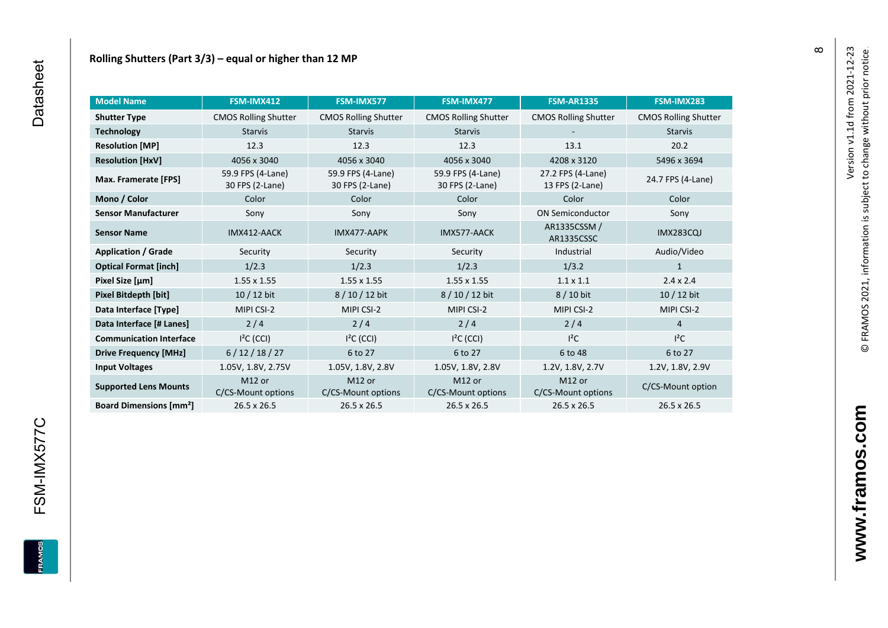| <b>Model Name</b>                        | FSM-IMX412                               | FSM-IMX577                               | FSM-IMX477                               | <b>FSM-AR1335</b>                    | FSM-IMX283                  |
|------------------------------------------|------------------------------------------|------------------------------------------|------------------------------------------|--------------------------------------|-----------------------------|
| <b>Shutter Type</b>                      | <b>CMOS Rolling Shutter</b>              | <b>CMOS Rolling Shutter</b>              | <b>CMOS Rolling Shutter</b>              | <b>CMOS Rolling Shutter</b>          | <b>CMOS Rolling Shutter</b> |
| <b>Technology</b>                        | <b>Starvis</b><br><b>Starvis</b>         |                                          | <b>Starvis</b>                           |                                      | <b>Starvis</b>              |
| <b>Resolution [MP]</b>                   | 12.3                                     | 12.3                                     | 12.3                                     | 13.1                                 | 20.2                        |
| <b>Resolution [HxV]</b>                  | 4056 x 3040                              | 4056 x 3040                              | 4056 x 3040                              | 4208 x 3120                          | 5496 x 3694                 |
| Max. Framerate [FPS]                     | 59.9 FPS (4-Lane)<br>30 FPS (2-Lane)     | 59.9 FPS (4-Lane)<br>30 FPS (2-Lane)     | 59.9 FPS (4-Lane)<br>30 FPS (2-Lane)     | 27.2 FPS (4-Lane)<br>13 FPS (2-Lane) | 24.7 FPS (4-Lane)           |
| Mono / Color                             | Color                                    | Color                                    | Color                                    | Color                                | Color                       |
| <b>Sensor Manufacturer</b>               | Sony                                     | Sony                                     | Sony                                     | <b>ON Semiconductor</b>              | Sony                        |
| <b>Sensor Name</b>                       | IMX412-AACK                              | IMX477-AAPK                              | IMX577-AACK                              | AR1335CSSM /<br>AR1335CSSC           | <b>IMX283CQJ</b>            |
| <b>Application / Grade</b>               | Security                                 | Security                                 | Security                                 | Industrial                           | Audio/Video                 |
| <b>Optical Format [inch]</b>             | 1/2.3                                    | 1/2.3                                    | 1/2.3                                    | 1/3.2                                | 1                           |
| Pixel Size [µm]                          | $1.55 \times 1.55$                       | $1.55 \times 1.55$                       | $1.55 \times 1.55$                       | $1.1 \times 1.1$                     | $2.4 \times 2.4$            |
| Pixel Bitdepth [bit]                     | $10/12$ bit                              | 8/10/12 bit                              | 8 / 10 / 12 bit                          | 8 / 10 bit                           | 10 / 12 bit                 |
| Data Interface [Type]                    | MIPI CSI-2                               | MIPI CSI-2                               | MIPI CSI-2                               | MIPI CSI-2                           | MIPI CSI-2                  |
| Data Interface [# Lanes]                 | 2/4                                      | 2/4                                      | 2/4                                      | 2/4                                  | 4                           |
| <b>Communication Interface</b>           | $I2C$ (CCI)                              | $I2C$ (CCI)                              | $I2C$ (CCI)                              | $l^2C$                               | $I^2C$                      |
| <b>Drive Frequency [MHz]</b>             | 6/12/18/27                               | 6 to 27                                  | 6 to 27                                  | 6 to 48                              | 6 to 27                     |
| <b>Input Voltages</b>                    | 1.05V, 1.8V, 2.75V                       | 1.05V, 1.8V, 2.8V                        | 1.05V, 1.8V, 2.8V                        | 1.2V, 1.8V, 2.7V                     | 1.2V, 1.8V, 2.9V            |
| <b>Supported Lens Mounts</b>             | M <sub>12</sub> or<br>C/CS-Mount options | M <sub>12</sub> or<br>C/CS-Mount options | M <sub>12</sub> or<br>C/CS-Mount options | M12 or<br>C/CS-Mount options         | C/CS-Mount option           |
| <b>Board Dimensions [mm<sup>2</sup>]</b> | 26.5 x 26.5                              | 26.5 x 26.5                              | 26.5 x 26.5                              | 26.5 x 26.5                          | 26.5 x 26.5                 |

**FRAMOS** 

 $\infty$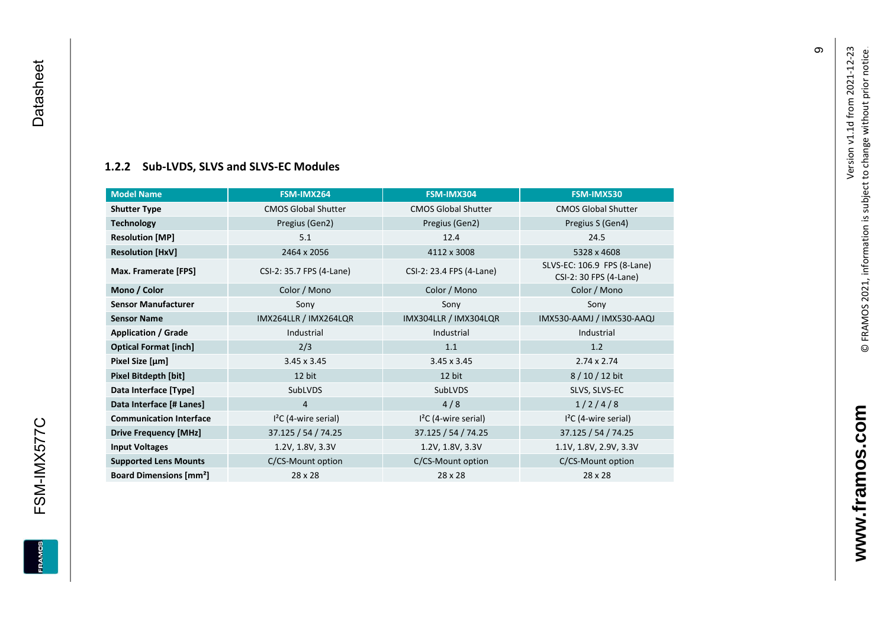#### **[1.2.2](#page-0-7) Sub -LVDS, SLVS and SLVS -EC Modules**

| <b>Model Name</b>                        | FSM-IMX264                 | FSM-IMX304                 | FSM-IMX530                                            |
|------------------------------------------|----------------------------|----------------------------|-------------------------------------------------------|
| <b>Shutter Type</b>                      | <b>CMOS Global Shutter</b> | <b>CMOS Global Shutter</b> | <b>CMOS Global Shutter</b>                            |
| <b>Technology</b>                        | Pregius (Gen2)             | Pregius (Gen2)             | Pregius S (Gen4)                                      |
| <b>Resolution [MP]</b>                   | 5.1                        | 12.4                       | 24.5                                                  |
| <b>Resolution [HxV]</b>                  | 2464 x 2056                | 4112 x 3008                | 5328 x 4608                                           |
| Max. Framerate [FPS]                     | CSI-2: 35.7 FPS (4-Lane)   | CSI-2: 23.4 FPS (4-Lane)   | SLVS-EC: 106.9 FPS (8-Lane)<br>CSI-2: 30 FPS (4-Lane) |
| Mono / Color                             | Color / Mono               | Color / Mono               | Color / Mono                                          |
| <b>Sensor Manufacturer</b>               | Sony                       | Sony                       | Sony                                                  |
| <b>Sensor Name</b>                       | IMX264LLR / IMX264LQR      | IMX304LLR / IMX304LQR      | IMX530-AAMJ / IMX530-AAQJ                             |
| <b>Application / Grade</b>               | Industrial                 | Industrial                 | Industrial                                            |
| <b>Optical Format [inch]</b>             | 2/3                        | 1.1                        | 1.2                                                   |
| Pixel Size [µm]                          | $3.45 \times 3.45$         | $3.45 \times 3.45$         | $2.74 \times 2.74$                                    |
| Pixel Bitdepth [bit]                     | 12 bit                     | 12 bit                     | 8/10/12 bit                                           |
| Data Interface [Type]                    | SubLVDS                    | <b>SubLVDS</b>             | SLVS, SLVS-EC                                         |
| Data Interface [# Lanes]                 | 4                          | 4/8                        | 1/2/4/8                                               |
| <b>Communication Interface</b>           | $I2C$ (4-wire serial)      | $I2C$ (4-wire serial)      | $I2C$ (4-wire serial)                                 |
| <b>Drive Frequency [MHz]</b>             | 37.125 / 54 / 74.25        | 37.125 / 54 / 74.25        | 37.125 / 54 / 74.25                                   |
| <b>Input Voltages</b>                    | 1.2V, 1.8V, 3.3V           | 1.2V, 1.8V, 3.3V           | 1.1V, 1.8V, 2.9V, 3.3V                                |
| <b>Supported Lens Mounts</b>             | C/CS-Mount option          | C/CS-Mount option          | C/CS-Mount option                                     |
| <b>Board Dimensions [mm<sup>2</sup>]</b> | 28 x 28                    | 28 x 28                    | 28 x 28                                               |

თ

**EDWARE** 

<span id="page-10-0"></span>FSM-IMX577C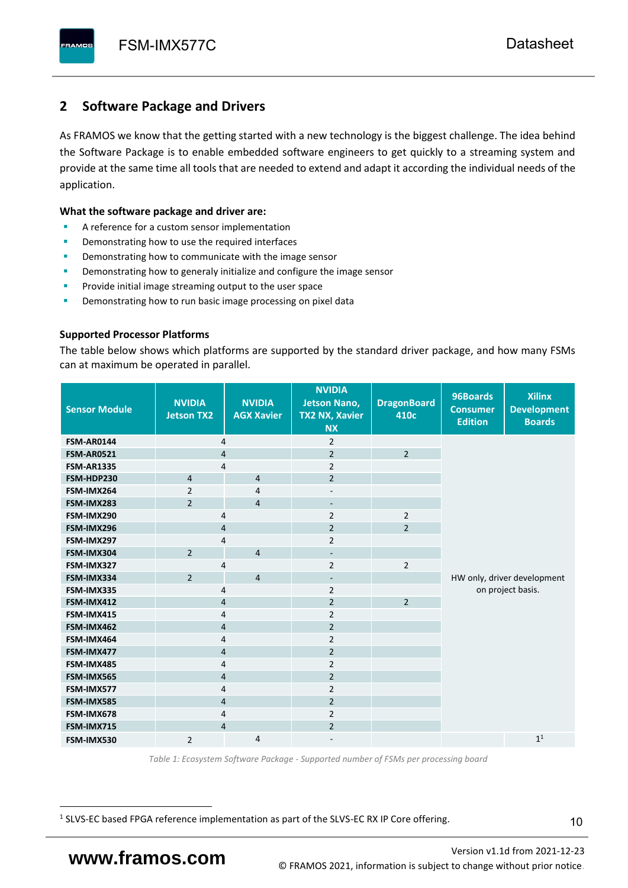# <span id="page-11-0"></span>**2 Software Package and Drivers**

As FRAMOS we know that the getting started with a new technology is the biggest challenge. The idea behind the Software Package is to enable embedded software engineers to get quickly to a streaming system and provide at the same time all tools that are needed to extend and adapt it according the individual needs of the application.

#### **What the software package and driver are:**

- A reference for a custom sensor implementation
- Demonstrating how to use the required interfaces
- Demonstrating how to communicate with the image sensor
- Demonstrating how to generaly initialize and configure the image sensor
- Provide initial image streaming output to the user space
- Demonstrating how to run basic image processing on pixel data

#### **Supported Processor Platforms**

The table below shows which platforms are supported by the standard driver package, and how many FSMs can at maximum be operated in parallel.

| <b>Sensor Module</b> | <b>NVIDIA</b><br><b>Jetson TX2</b> | <b>NVIDIA</b><br><b>AGX Xavier</b> | <b>NVIDIA</b><br><b>Jetson Nano,</b><br><b>TX2 NX, Xavier</b><br><b>NX</b> | <b>DragonBoard</b><br>410c | 96Boards<br><b>Consumer</b><br><b>Edition</b> | <b>Xilinx</b><br><b>Development</b><br><b>Boards</b> |  |  |
|----------------------|------------------------------------|------------------------------------|----------------------------------------------------------------------------|----------------------------|-----------------------------------------------|------------------------------------------------------|--|--|
| <b>FSM-AR0144</b>    | 4                                  |                                    | $\overline{2}$                                                             |                            |                                               |                                                      |  |  |
| <b>FSM-AR0521</b>    | $\overline{4}$                     |                                    | $\overline{2}$                                                             | $\overline{2}$             |                                               |                                                      |  |  |
| <b>FSM-AR1335</b>    | 4                                  |                                    | $\overline{2}$                                                             |                            |                                               |                                                      |  |  |
| FSM-HDP230           | $\overline{4}$                     | $\overline{4}$                     | $\overline{2}$                                                             |                            |                                               |                                                      |  |  |
| FSM-IMX264           | $\overline{2}$                     | $\overline{4}$                     | $\overline{\phantom{a}}$                                                   |                            |                                               |                                                      |  |  |
| FSM-IMX283           | $\overline{2}$                     | $\overline{4}$                     | $\overline{\phantom{a}}$                                                   |                            |                                               |                                                      |  |  |
| FSM-IMX290           | 4                                  |                                    | $\overline{2}$                                                             | $\overline{2}$             |                                               |                                                      |  |  |
| FSM-IMX296           | 4                                  |                                    | $\overline{2}$                                                             | $\overline{2}$             |                                               |                                                      |  |  |
| FSM-IMX297           | 4                                  |                                    | $\overline{2}$                                                             |                            |                                               |                                                      |  |  |
| FSM-IMX304           | $\overline{2}$                     | $\overline{4}$                     | $\overline{\phantom{a}}$                                                   |                            |                                               |                                                      |  |  |
| FSM-IMX327           | 4                                  |                                    | $\overline{2}$                                                             | $\overline{2}$             |                                               |                                                      |  |  |
| FSM-IMX334           | $\overline{2}$                     | $\overline{4}$                     | $\overline{\phantom{a}}$                                                   |                            | HW only, driver development                   |                                                      |  |  |
| FSM-IMX335           | 4                                  |                                    | $\overline{2}$                                                             |                            | on project basis.                             |                                                      |  |  |
| FSM-IMX412           | $\overline{4}$                     |                                    | $\overline{2}$                                                             | $\overline{2}$             |                                               |                                                      |  |  |
| FSM-IMX415           | 4                                  |                                    | $\overline{2}$                                                             |                            |                                               |                                                      |  |  |
| FSM-IMX462           | $\overline{\mathbf{4}}$            |                                    | $\overline{2}$                                                             |                            |                                               |                                                      |  |  |
| FSM-IMX464           | $\overline{4}$                     |                                    | $\overline{2}$                                                             |                            |                                               |                                                      |  |  |
| FSM-IMX477           | $\overline{4}$                     |                                    | $\overline{2}$                                                             |                            |                                               |                                                      |  |  |
| FSM-IMX485           | $\overline{4}$                     |                                    | $\overline{2}$                                                             |                            |                                               |                                                      |  |  |
| FSM-IMX565           | $\overline{4}$                     |                                    | $\overline{2}$                                                             |                            |                                               |                                                      |  |  |
| FSM-IMX577           | $\overline{4}$                     |                                    | $\overline{2}$                                                             |                            |                                               |                                                      |  |  |
| FSM-IMX585           | $\overline{4}$                     |                                    | $\overline{2}$                                                             |                            |                                               |                                                      |  |  |
| FSM-IMX678           | 4                                  |                                    | $\overline{2}$                                                             |                            |                                               |                                                      |  |  |
| FSM-IMX715           | $\overline{4}$                     |                                    | $\overline{2}$                                                             |                            |                                               |                                                      |  |  |
| FSM-IMX530           | $\overline{2}$                     | $\overline{4}$                     |                                                                            |                            |                                               | 1 <sup>1</sup>                                       |  |  |

*Table 1: Ecosystem Software Package - Supported number of FSMs per processing board*

<sup>1</sup> SLVS-EC based FPGA reference implementation as part of the SLVS-EC RX IP Core offering.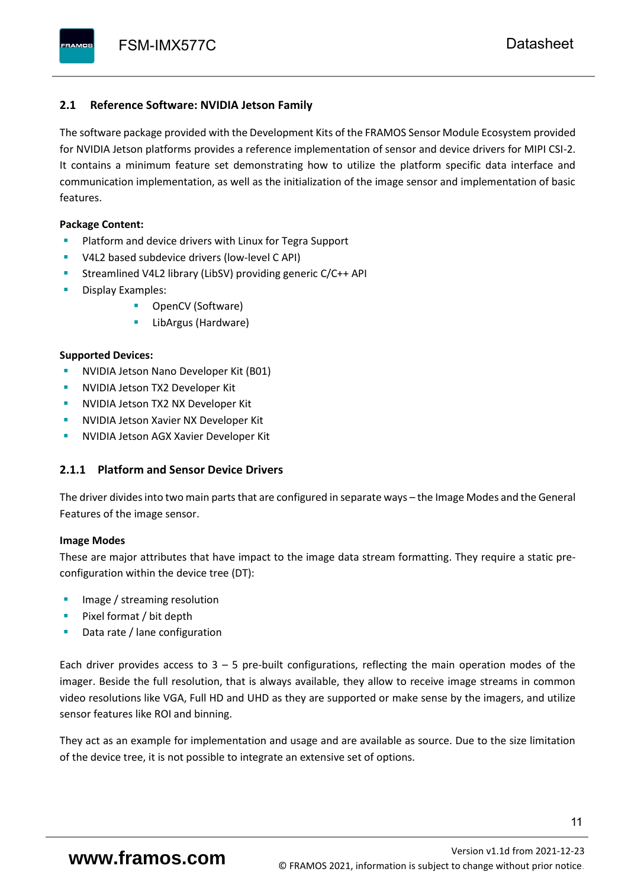#### <span id="page-12-0"></span>**2.1 Reference Software: NVIDIA Jetson Family**

The software package provided with the Development Kits of the FRAMOS Sensor Module Ecosystem provided for NVIDIA Jetson platforms provides a reference implementation of sensor and device drivers for MIPI CSI-2. It contains a minimum feature set demonstrating how to utilize the platform specific data interface and communication implementation, as well as the initialization of the image sensor and implementation of basic features.

#### **Package Content:**

- Platform and device drivers with Linux for Tegra Support
- V4L2 based subdevice drivers (low-level C API)
- Streamlined V4L2 library (LibSV) providing generic C/C++ API
- Display Examples:
	- OpenCV (Software)
	- LibArgus (Hardware)

#### **Supported Devices:**

- **NVIDIA Jetson Nano Developer Kit (B01)**
- **NVIDIA Jetson TX2 Developer Kit**
- NVIDIA Jetson TX2 NX Developer Kit
- **NVIDIA Jetson Xavier NX Developer Kit**
- **NVIDIA Jetson AGX Xavier Developer Kit**

### <span id="page-12-1"></span>**2.1.1 Platform and Sensor Device Drivers**

The driver divides into two main parts that are configured in separate ways – the Image Modes and the General Features of the image sensor.

#### **Image Modes**

These are major attributes that have impact to the image data stream formatting. They require a static preconfiguration within the device tree (DT):

- Image / streaming resolution
- Pixel format / bit depth
- Data rate / lane configuration

Each driver provides access to  $3 - 5$  pre-built configurations, reflecting the main operation modes of the imager. Beside the full resolution, that is always available, they allow to receive image streams in common video resolutions like VGA, Full HD and UHD as they are supported or make sense by the imagers, and utilize sensor features like ROI and binning.

They act as an example for implementation and usage and are available as source. Due to the size limitation of the device tree, it is not possible to integrate an extensive set of options.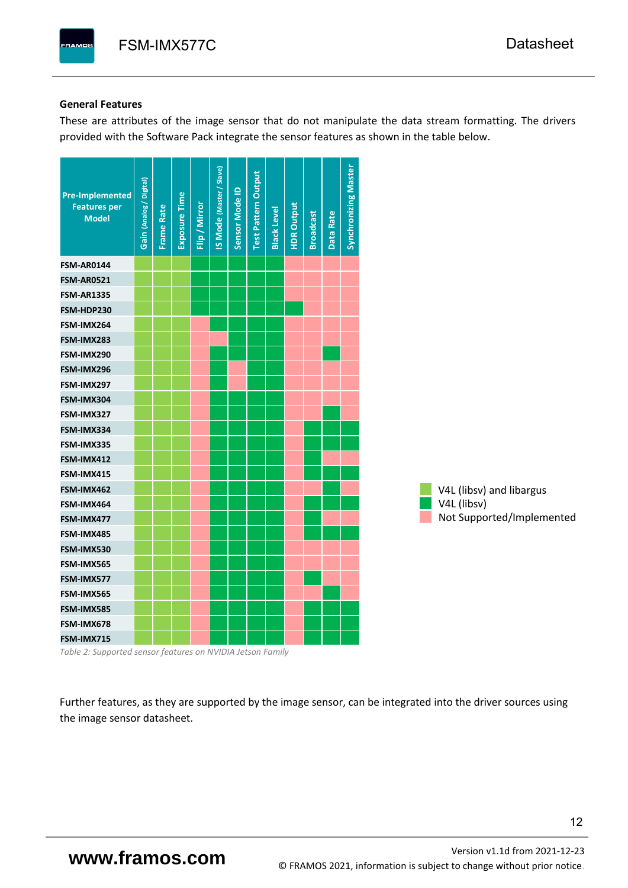#### **General Features**

These are attributes of the image sensor that do not manipulate the data stream formatting. The drivers provided with the Software Pack integrate the sensor features as shown in the table below.

| <b>Pre-Implemented</b><br><b>Features per</b><br><b>Model</b> | Gain (Analog / Digital) | <b>Frame Rate</b> | Exposure Time | Flip / Mirror | <b>IS Mode (Master / Slave)</b> | Sensor Mode ID | <b>Test Pattern Output</b> | <b>Black Level</b> | <b>HDR Output</b> | <b>Broadcast</b> | Data Rate | <b>Synchronizing Master</b> |                           |
|---------------------------------------------------------------|-------------------------|-------------------|---------------|---------------|---------------------------------|----------------|----------------------------|--------------------|-------------------|------------------|-----------|-----------------------------|---------------------------|
| <b>FSM-AR0144</b>                                             |                         |                   |               |               |                                 |                |                            |                    |                   |                  |           |                             |                           |
| <b>FSM-AR0521</b>                                             |                         |                   |               |               |                                 |                |                            |                    |                   |                  |           |                             |                           |
| <b>FSM-AR1335</b>                                             |                         |                   |               |               |                                 |                |                            |                    |                   |                  |           |                             |                           |
| FSM-HDP230                                                    |                         |                   |               |               |                                 |                |                            |                    |                   |                  |           |                             |                           |
| FSM-IMX264                                                    |                         |                   |               |               |                                 |                |                            |                    |                   |                  |           |                             |                           |
| FSM-IMX283                                                    |                         |                   |               |               |                                 |                |                            |                    |                   |                  |           |                             |                           |
| FSM-IMX290                                                    |                         |                   |               |               |                                 |                |                            |                    |                   |                  |           |                             |                           |
| FSM-IMX296                                                    |                         |                   |               |               |                                 |                |                            |                    |                   |                  |           |                             |                           |
| FSM-IMX297                                                    |                         |                   |               |               |                                 |                |                            |                    |                   |                  |           |                             |                           |
| FSM-IMX304                                                    |                         |                   |               |               |                                 |                |                            |                    |                   |                  |           |                             |                           |
| FSM-IMX327                                                    |                         |                   |               |               |                                 |                |                            |                    |                   |                  |           |                             |                           |
| FSM-IMX334                                                    |                         |                   |               |               |                                 |                |                            |                    |                   |                  |           |                             |                           |
| FSM-IMX335                                                    |                         |                   |               |               |                                 |                |                            |                    |                   |                  |           |                             |                           |
| FSM-IMX412                                                    |                         |                   |               |               |                                 |                |                            |                    |                   |                  |           |                             |                           |
| FSM-IMX415                                                    |                         |                   |               |               |                                 |                |                            |                    |                   |                  |           |                             |                           |
| FSM-IMX462                                                    |                         |                   |               |               |                                 |                |                            |                    |                   |                  |           |                             | V4L (libsv) and libargus  |
| FSM-IMX464                                                    |                         |                   |               |               |                                 |                |                            |                    |                   |                  |           |                             | V4L (libsv)               |
| FSM-IMX477                                                    |                         |                   |               |               |                                 |                |                            |                    |                   |                  |           |                             | Not Supported/Implemented |
| FSM-IMX485                                                    |                         |                   |               |               |                                 |                |                            |                    |                   |                  |           |                             |                           |
| FSM-IMX530                                                    |                         |                   |               |               |                                 |                |                            |                    |                   |                  |           |                             |                           |
| FSM-IMX565                                                    |                         |                   |               |               |                                 |                |                            |                    |                   |                  |           |                             |                           |
| FSM-IMX577                                                    |                         |                   |               |               |                                 |                |                            |                    |                   |                  |           |                             |                           |
| FSM-IMX565                                                    |                         |                   |               |               |                                 |                |                            |                    |                   |                  |           |                             |                           |
| FSM-IMX585                                                    |                         |                   |               |               |                                 |                |                            |                    |                   |                  |           |                             |                           |
| FSM-IMX678                                                    |                         |                   |               |               |                                 |                |                            |                    |                   |                  |           |                             |                           |
| FSM-IMX715                                                    |                         |                   |               |               |                                 |                |                            |                    |                   |                  |           |                             |                           |

*Table 2: Supported sensor features on NVIDIA Jetson Family*

Further features, as they are supported by the image sensor, can be integrated into the driver sources using the image sensor datasheet.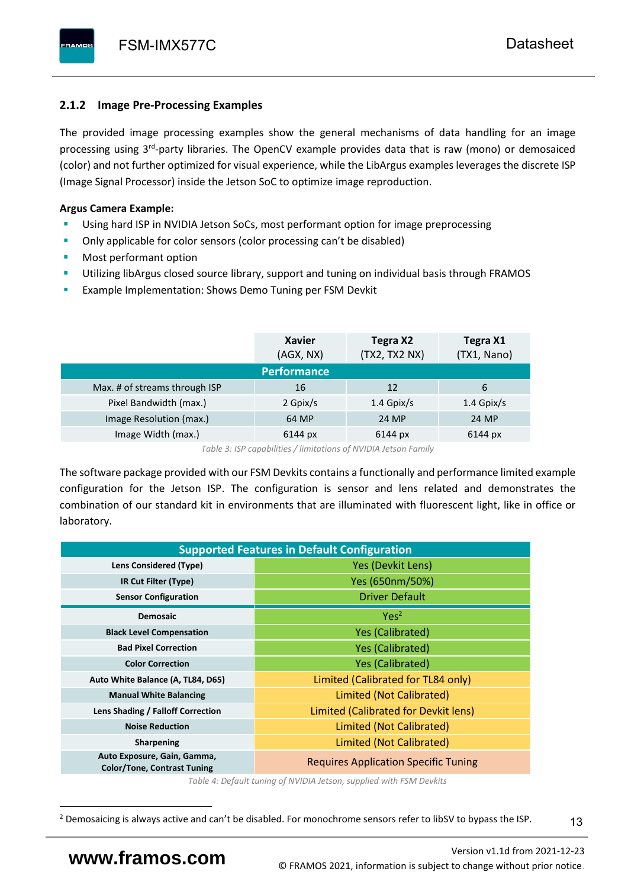# <span id="page-14-0"></span>**2.1.2 Image Pre-Processing Examples**

The provided image processing examples show the general mechanisms of data handling for an image processing using 3<sup>rd</sup>-party libraries. The OpenCV example provides data that is raw (mono) or demosaiced (color) and not further optimized for visual experience, while the LibArgus examples leverages the discrete ISP (Image Signal Processor) inside the Jetson SoC to optimize image reproduction.

## **Argus Camera Example:**

- Using hard ISP in NVIDIA Jetson SoCs, most performant option for image preprocessing
- Only applicable for color sensors (color processing can't be disabled)
- Most performant option
- Utilizing libArgus closed source library, support and tuning on individual basis through FRAMOS
- Example Implementation: Shows Demo Tuning per FSM Devkit

|                               | <b>Xavier</b><br>(AGX, NX) | Tegra X2<br>(TX2, TX2 NX) | Tegra X1<br>(TX1, Nano) |
|-------------------------------|----------------------------|---------------------------|-------------------------|
|                               | <b>Performance</b>         |                           |                         |
| Max. # of streams through ISP | 16                         | 12                        | 6                       |
| Pixel Bandwidth (max.)        | 2 Gpix/s                   | $1.4$ Gpix/s              | $1.4$ Gpix/s            |
| Image Resolution (max.)       | 64 MP                      | 24 MP                     | 24 MP                   |
| Image Width (max.)            | 6144 px                    | 6144 px                   | 6144 px                 |

*Table 3: ISP capabilities / limitations of NVIDIA Jetson Family*

The software package provided with our FSM Devkits contains a functionally and performance limited example configuration for the Jetson ISP. The configuration is sensor and lens related and demonstrates the combination of our standard kit in environments that are illuminated with fluorescent light, like in office or laboratory.

|                                                                   | <b>Supported Features in Default Configuration</b> |  |  |  |
|-------------------------------------------------------------------|----------------------------------------------------|--|--|--|
| Lens Considered (Type)                                            | Yes (Devkit Lens)                                  |  |  |  |
| IR Cut Filter (Type)                                              | Yes (650nm/50%)                                    |  |  |  |
| <b>Sensor Configuration</b>                                       | <b>Driver Default</b>                              |  |  |  |
| <b>Demosaic</b>                                                   | Yes <sup>2</sup>                                   |  |  |  |
| <b>Black Level Compensation</b>                                   | <b>Yes (Calibrated)</b>                            |  |  |  |
| <b>Bad Pixel Correction</b>                                       | <b>Yes (Calibrated)</b>                            |  |  |  |
| <b>Color Correction</b>                                           | <b>Yes (Calibrated)</b>                            |  |  |  |
| Auto White Balance (A, TL84, D65)                                 | Limited (Calibrated for TL84 only)                 |  |  |  |
| <b>Manual White Balancing</b>                                     | Limited (Not Calibrated)                           |  |  |  |
| Lens Shading / Falloff Correction                                 | Limited (Calibrated for Devkit lens)               |  |  |  |
| <b>Noise Reduction</b>                                            | Limited (Not Calibrated)                           |  |  |  |
| <b>Sharpening</b>                                                 | Limited (Not Calibrated)                           |  |  |  |
| Auto Exposure, Gain, Gamma,<br><b>Color/Tone, Contrast Tuning</b> | <b>Requires Application Specific Tuning</b>        |  |  |  |

*Table 4: Default tuning of NVIDIA Jetson, supplied with FSM Devkits*

<sup>&</sup>lt;sup>2</sup> Demosaicing is always active and can't be disabled. For monochrome sensors refer to libSV to bypass the ISP.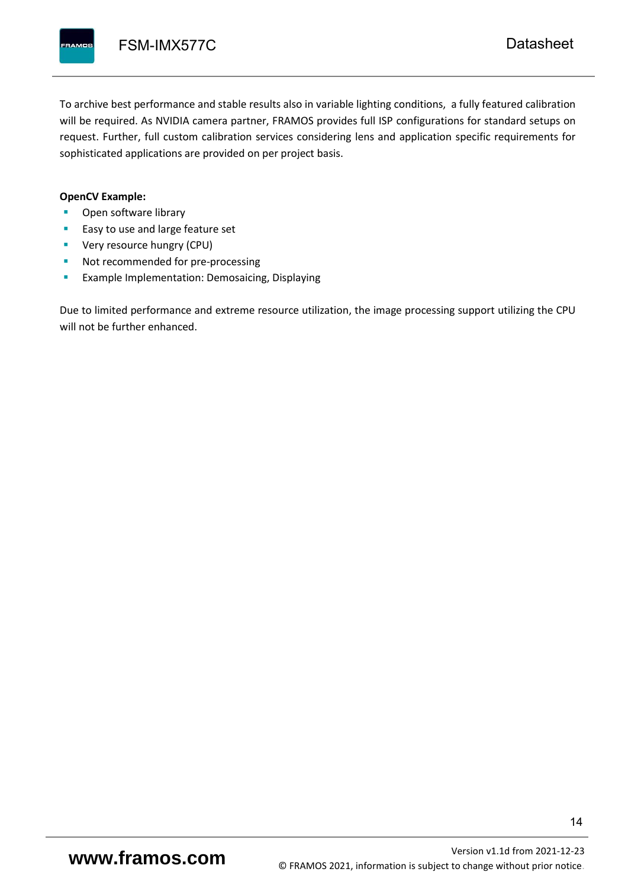To archive best performance and stable results also in variable lighting conditions, a fully featured calibration will be required. As NVIDIA camera partner, FRAMOS provides full ISP configurations for standard setups on request. Further, full custom calibration services considering lens and application specific requirements for sophisticated applications are provided on per project basis.

#### **OpenCV Example:**

- Open software library
- Easy to use and large feature set
- **•** Very resource hungry (CPU)
- Not recommended for pre-processing
- **Example Implementation: Demosaicing, Displaying**

Due to limited performance and extreme resource utilization, the image processing support utilizing the CPU will not be further enhanced.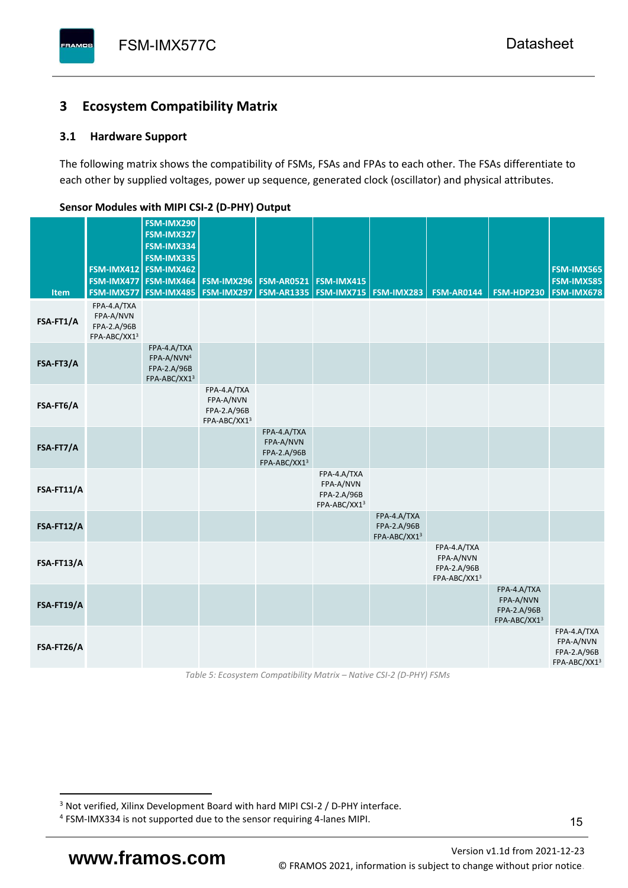# <span id="page-16-0"></span>**3 Ecosystem Compatibility Matrix**

## <span id="page-16-1"></span>**3.1 Hardware Support**

The following matrix shows the compatibility of FSMs, FSAs and FPAs to each other. The FSAs differentiate to each other by supplied voltages, power up sequence, generated clock (oscillator) and physical attributes.

| <b>Item</b> | FSM-IMX477<br>FSM-IMX577                                | FSM-IMX290<br>FSM-IMX327<br>FSM-IMX334<br>FSM-IMX335<br>FSM-IMX412 FSM-IMX462<br>FSM-IMX464<br><b>FSM-IMX485</b> | <b>FSM-IMX296</b><br>FSM-IMX297                         | <b>FSM-AR0521</b><br><b>FSM-AR1335</b>                  | FSM-IMX415<br><b>FSM-IMX715 FSM-IMX283</b>              |                                            | <b>FSM-AR0144</b>                                       | <b>FSM-HDP230</b>                                       | FSM-IMX565<br><b>FSM-IMX585</b><br>FSM-IMX678           |
|-------------|---------------------------------------------------------|------------------------------------------------------------------------------------------------------------------|---------------------------------------------------------|---------------------------------------------------------|---------------------------------------------------------|--------------------------------------------|---------------------------------------------------------|---------------------------------------------------------|---------------------------------------------------------|
| FSA-FT1/A   | FPA-4.A/TXA<br>FPA-A/NVN<br>FPA-2.A/96B<br>FPA-ABC/XX13 |                                                                                                                  |                                                         |                                                         |                                                         |                                            |                                                         |                                                         |                                                         |
| FSA-FT3/A   |                                                         | FPA-4.A/TXA<br>FPA-A/NVN <sup>4</sup><br>FPA-2.A/96B<br>FPA-ABC/XX13                                             |                                                         |                                                         |                                                         |                                            |                                                         |                                                         |                                                         |
| FSA-FT6/A   |                                                         |                                                                                                                  | FPA-4.A/TXA<br>FPA-A/NVN<br>FPA-2.A/96B<br>FPA-ABC/XX13 |                                                         |                                                         |                                            |                                                         |                                                         |                                                         |
| FSA-FT7/A   |                                                         |                                                                                                                  |                                                         | FPA-4.A/TXA<br>FPA-A/NVN<br>FPA-2.A/96B<br>FPA-ABC/XX13 |                                                         |                                            |                                                         |                                                         |                                                         |
| FSA-FT11/A  |                                                         |                                                                                                                  |                                                         |                                                         | FPA-4.A/TXA<br>FPA-A/NVN<br>FPA-2.A/96B<br>FPA-ABC/XX13 |                                            |                                                         |                                                         |                                                         |
| FSA-FT12/A  |                                                         |                                                                                                                  |                                                         |                                                         |                                                         | FPA-4.A/TXA<br>FPA-2.A/96B<br>FPA-ABC/XX13 |                                                         |                                                         |                                                         |
| FSA-FT13/A  |                                                         |                                                                                                                  |                                                         |                                                         |                                                         |                                            | FPA-4.A/TXA<br>FPA-A/NVN<br>FPA-2.A/96B<br>FPA-ABC/XX13 |                                                         |                                                         |
| FSA-FT19/A  |                                                         |                                                                                                                  |                                                         |                                                         |                                                         |                                            |                                                         | FPA-4.A/TXA<br>FPA-A/NVN<br>FPA-2.A/96B<br>FPA-ABC/XX13 |                                                         |
| FSA-FT26/A  |                                                         |                                                                                                                  |                                                         |                                                         |                                                         |                                            |                                                         |                                                         | FPA-4.A/TXA<br>FPA-A/NVN<br>FPA-2.A/96B<br>FPA-ABC/XX13 |

#### <span id="page-16-2"></span>**Sensor Modules with MIPI CSI-2 (D-PHY) Output**

*Table 5: Ecosystem Compatibility Matrix – Native CSI-2 (D-PHY) FSMs*

Version [v1.1d](#page-0-3) from 2021-12-23 **www.framos.com** © FRAMOS 2021, [information is subject to change without prior notice.](mailto:sales@framos.de)

<sup>&</sup>lt;sup>3</sup> Not verified, Xilinx Development Board with hard MIPI CSI-2 / D-PHY interface.

<sup>4</sup> FSM-IMX334 is not supported due to the sensor requiring 4-lanes MIPI.